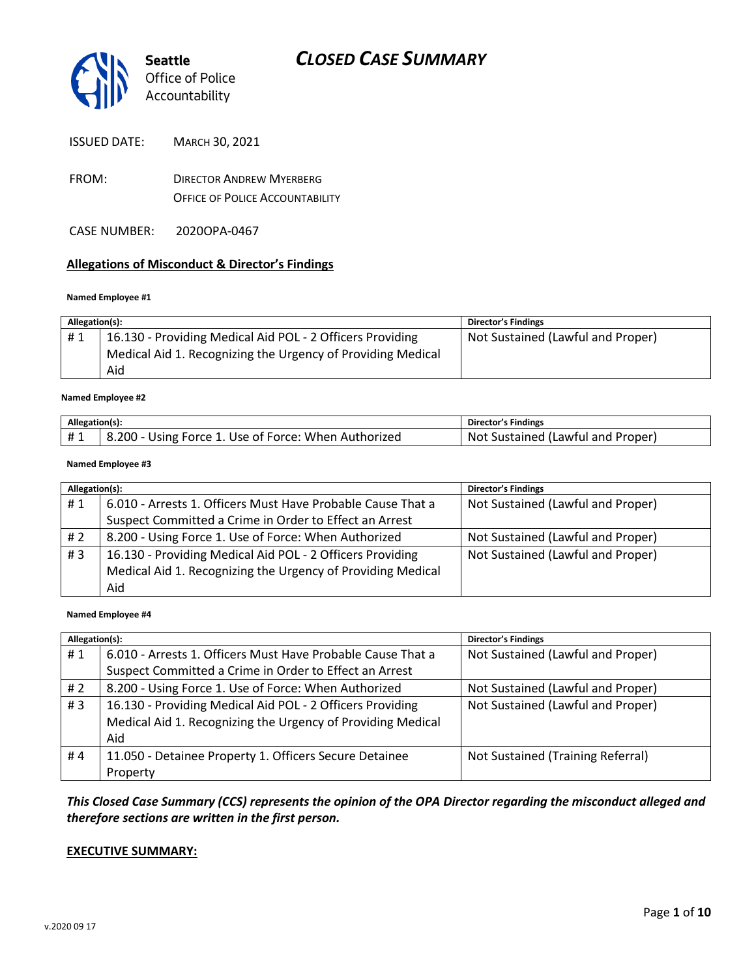

ISSUED DATE: MARCH 30, 2021

- FROM: DIRECTOR ANDREW MYERBERG OFFICE OF POLICE ACCOUNTABILITY
- CASE NUMBER: 2020OPA-0467

#### **Allegations of Misconduct & Director's Findings**

#### **Named Employee #1**

| Allegation(s): |                                                             | <b>Director's Findings</b>        |
|----------------|-------------------------------------------------------------|-----------------------------------|
| #1             | 16.130 - Providing Medical Aid POL - 2 Officers Providing   | Not Sustained (Lawful and Proper) |
|                | Medical Aid 1. Recognizing the Urgency of Providing Medical |                                   |
|                | Aid                                                         |                                   |

#### Ι **Named Employee #2**

| Allegation(s): |                                                      | Director's Findings               |
|----------------|------------------------------------------------------|-----------------------------------|
| #1             | 8.200 - Using Force 1. Use of Force: When Authorized | Not Sustained (Lawful and Proper) |

#### **Named Employee #3**

| Allegation(s): |                                                             | <b>Director's Findings</b>        |
|----------------|-------------------------------------------------------------|-----------------------------------|
| #1             | 6.010 - Arrests 1. Officers Must Have Probable Cause That a | Not Sustained (Lawful and Proper) |
|                | Suspect Committed a Crime in Order to Effect an Arrest      |                                   |
| # 2            | 8.200 - Using Force 1. Use of Force: When Authorized        | Not Sustained (Lawful and Proper) |
| # $3$          | 16.130 - Providing Medical Aid POL - 2 Officers Providing   | Not Sustained (Lawful and Proper) |
|                | Medical Aid 1. Recognizing the Urgency of Providing Medical |                                   |
|                | Aid                                                         |                                   |

#### **Named Employee #4**

| Allegation(s): |                                                             | <b>Director's Findings</b>        |
|----------------|-------------------------------------------------------------|-----------------------------------|
| #1             | 6.010 - Arrests 1. Officers Must Have Probable Cause That a | Not Sustained (Lawful and Proper) |
|                | Suspect Committed a Crime in Order to Effect an Arrest      |                                   |
| # $2$          | 8.200 - Using Force 1. Use of Force: When Authorized        | Not Sustained (Lawful and Proper) |
| #3             | 16.130 - Providing Medical Aid POL - 2 Officers Providing   | Not Sustained (Lawful and Proper) |
|                | Medical Aid 1. Recognizing the Urgency of Providing Medical |                                   |
|                | Aid                                                         |                                   |
| #4             | 11.050 - Detainee Property 1. Officers Secure Detainee      | Not Sustained (Training Referral) |
|                | Property                                                    |                                   |

### *This Closed Case Summary (CCS) represents the opinion of the OPA Director regarding the misconduct alleged and therefore sections are written in the first person.*

#### **EXECUTIVE SUMMARY:**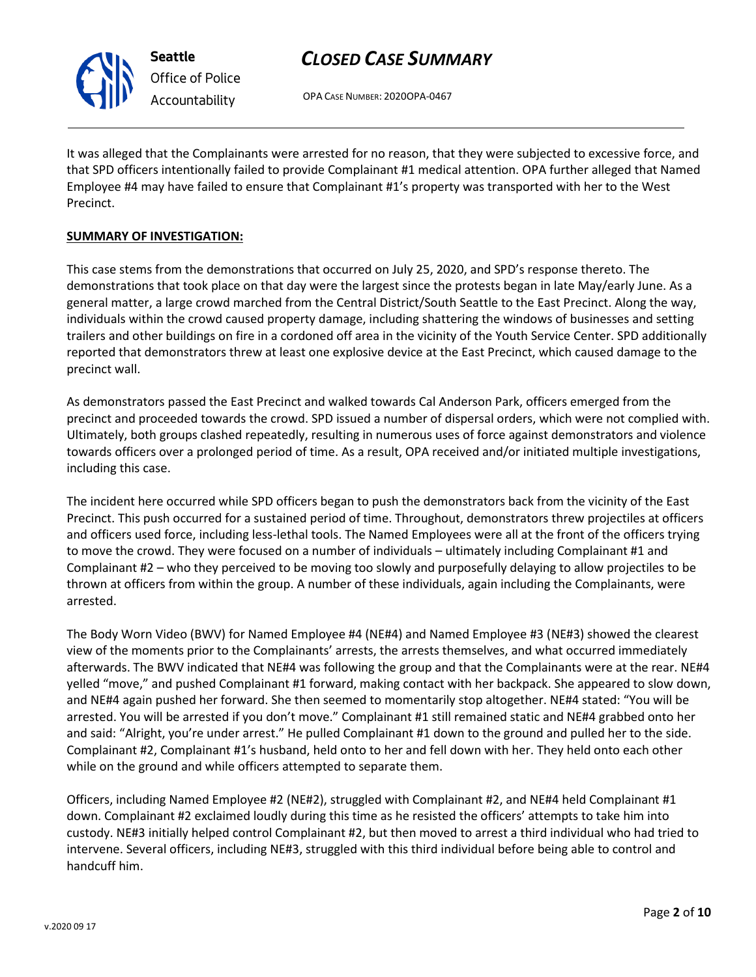

**Seattle** *Office of Police Accountability*

# *CLOSED CASE SUMMARY*

OPA CASE NUMBER: 2020OPA-0467

It was alleged that the Complainants were arrested for no reason, that they were subjected to excessive force, and that SPD officers intentionally failed to provide Complainant #1 medical attention. OPA further alleged that Named Employee #4 may have failed to ensure that Complainant #1's property was transported with her to the West Precinct.

### **SUMMARY OF INVESTIGATION:**

This case stems from the demonstrations that occurred on July 25, 2020, and SPD's response thereto. The demonstrations that took place on that day were the largest since the protests began in late May/early June. As a general matter, a large crowd marched from the Central District/South Seattle to the East Precinct. Along the way, individuals within the crowd caused property damage, including shattering the windows of businesses and setting trailers and other buildings on fire in a cordoned off area in the vicinity of the Youth Service Center. SPD additionally reported that demonstrators threw at least one explosive device at the East Precinct, which caused damage to the precinct wall.

As demonstrators passed the East Precinct and walked towards Cal Anderson Park, officers emerged from the precinct and proceeded towards the crowd. SPD issued a number of dispersal orders, which were not complied with. Ultimately, both groups clashed repeatedly, resulting in numerous uses of force against demonstrators and violence towards officers over a prolonged period of time. As a result, OPA received and/or initiated multiple investigations, including this case.

The incident here occurred while SPD officers began to push the demonstrators back from the vicinity of the East Precinct. This push occurred for a sustained period of time. Throughout, demonstrators threw projectiles at officers and officers used force, including less-lethal tools. The Named Employees were all at the front of the officers trying to move the crowd. They were focused on a number of individuals – ultimately including Complainant #1 and Complainant #2 – who they perceived to be moving too slowly and purposefully delaying to allow projectiles to be thrown at officers from within the group. A number of these individuals, again including the Complainants, were arrested.

The Body Worn Video (BWV) for Named Employee #4 (NE#4) and Named Employee #3 (NE#3) showed the clearest view of the moments prior to the Complainants' arrests, the arrests themselves, and what occurred immediately afterwards. The BWV indicated that NE#4 was following the group and that the Complainants were at the rear. NE#4 yelled "move," and pushed Complainant #1 forward, making contact with her backpack. She appeared to slow down, and NE#4 again pushed her forward. She then seemed to momentarily stop altogether. NE#4 stated: "You will be arrested. You will be arrested if you don't move." Complainant #1 still remained static and NE#4 grabbed onto her and said: "Alright, you're under arrest." He pulled Complainant #1 down to the ground and pulled her to the side. Complainant #2, Complainant #1's husband, held onto to her and fell down with her. They held onto each other while on the ground and while officers attempted to separate them.

Officers, including Named Employee #2 (NE#2), struggled with Complainant #2, and NE#4 held Complainant #1 down. Complainant #2 exclaimed loudly during this time as he resisted the officers' attempts to take him into custody. NE#3 initially helped control Complainant #2, but then moved to arrest a third individual who had tried to intervene. Several officers, including NE#3, struggled with this third individual before being able to control and handcuff him.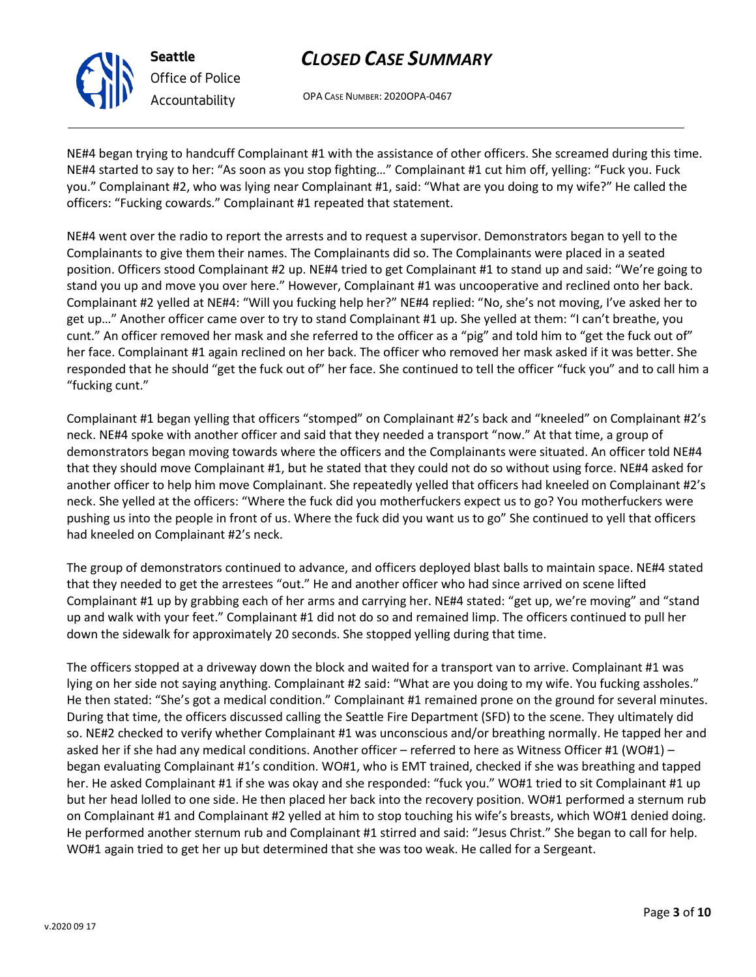OPA CASE NUMBER: 2020OPA-0467

NE#4 began trying to handcuff Complainant #1 with the assistance of other officers. She screamed during this time. NE#4 started to say to her: "As soon as you stop fighting…" Complainant #1 cut him off, yelling: "Fuck you. Fuck you." Complainant #2, who was lying near Complainant #1, said: "What are you doing to my wife?" He called the officers: "Fucking cowards." Complainant #1 repeated that statement.

NE#4 went over the radio to report the arrests and to request a supervisor. Demonstrators began to yell to the Complainants to give them their names. The Complainants did so. The Complainants were placed in a seated position. Officers stood Complainant #2 up. NE#4 tried to get Complainant #1 to stand up and said: "We're going to stand you up and move you over here." However, Complainant #1 was uncooperative and reclined onto her back. Complainant #2 yelled at NE#4: "Will you fucking help her?" NE#4 replied: "No, she's not moving, I've asked her to get up…" Another officer came over to try to stand Complainant #1 up. She yelled at them: "I can't breathe, you cunt." An officer removed her mask and she referred to the officer as a "pig" and told him to "get the fuck out of" her face. Complainant #1 again reclined on her back. The officer who removed her mask asked if it was better. She responded that he should "get the fuck out of" her face. She continued to tell the officer "fuck you" and to call him a "fucking cunt."

Complainant #1 began yelling that officers "stomped" on Complainant #2's back and "kneeled" on Complainant #2's neck. NE#4 spoke with another officer and said that they needed a transport "now." At that time, a group of demonstrators began moving towards where the officers and the Complainants were situated. An officer told NE#4 that they should move Complainant #1, but he stated that they could not do so without using force. NE#4 asked for another officer to help him move Complainant. She repeatedly yelled that officers had kneeled on Complainant #2's neck. She yelled at the officers: "Where the fuck did you motherfuckers expect us to go? You motherfuckers were pushing us into the people in front of us. Where the fuck did you want us to go" She continued to yell that officers had kneeled on Complainant #2's neck.

The group of demonstrators continued to advance, and officers deployed blast balls to maintain space. NE#4 stated that they needed to get the arrestees "out." He and another officer who had since arrived on scene lifted Complainant #1 up by grabbing each of her arms and carrying her. NE#4 stated: "get up, we're moving" and "stand up and walk with your feet." Complainant #1 did not do so and remained limp. The officers continued to pull her down the sidewalk for approximately 20 seconds. She stopped yelling during that time.

The officers stopped at a driveway down the block and waited for a transport van to arrive. Complainant #1 was lying on her side not saying anything. Complainant #2 said: "What are you doing to my wife. You fucking assholes." He then stated: "She's got a medical condition." Complainant #1 remained prone on the ground for several minutes. During that time, the officers discussed calling the Seattle Fire Department (SFD) to the scene. They ultimately did so. NE#2 checked to verify whether Complainant #1 was unconscious and/or breathing normally. He tapped her and asked her if she had any medical conditions. Another officer – referred to here as Witness Officer #1 (WO#1) – began evaluating Complainant #1's condition. WO#1, who is EMT trained, checked if she was breathing and tapped her. He asked Complainant #1 if she was okay and she responded: "fuck you." WO#1 tried to sit Complainant #1 up but her head lolled to one side. He then placed her back into the recovery position. WO#1 performed a sternum rub on Complainant #1 and Complainant #2 yelled at him to stop touching his wife's breasts, which WO#1 denied doing. He performed another sternum rub and Complainant #1 stirred and said: "Jesus Christ." She began to call for help. WO#1 again tried to get her up but determined that she was too weak. He called for a Sergeant.



**Seattle**

*Office of Police Accountability*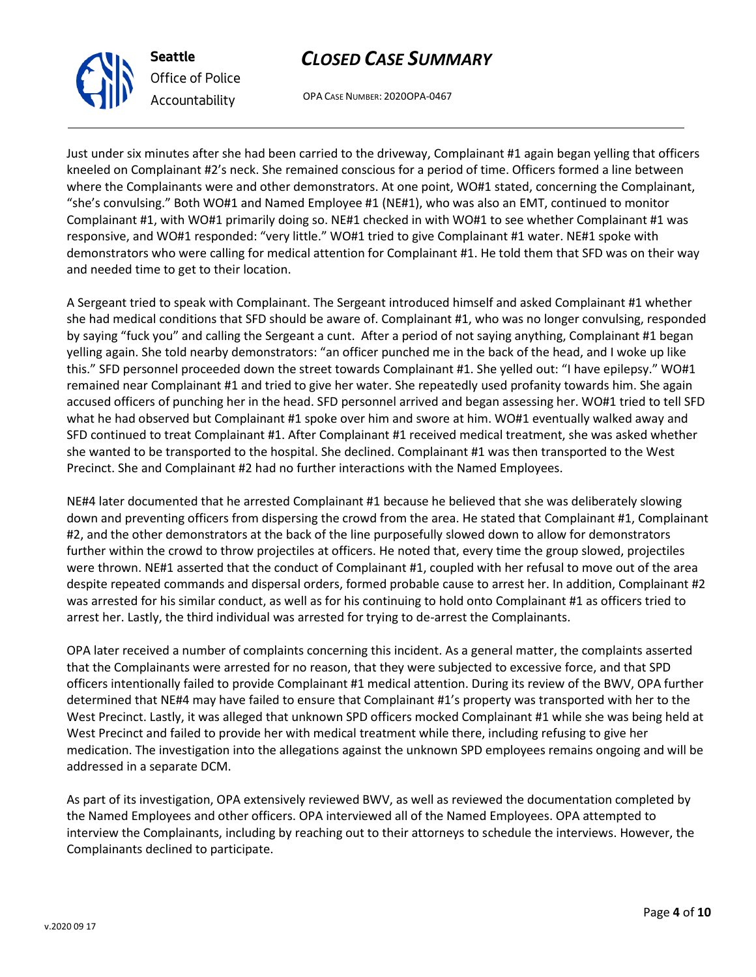OPA CASE NUMBER: 2020OPA-0467

Just under six minutes after she had been carried to the driveway, Complainant #1 again began yelling that officers kneeled on Complainant #2's neck. She remained conscious for a period of time. Officers formed a line between where the Complainants were and other demonstrators. At one point, WO#1 stated, concerning the Complainant, "she's convulsing." Both WO#1 and Named Employee #1 (NE#1), who was also an EMT, continued to monitor Complainant #1, with WO#1 primarily doing so. NE#1 checked in with WO#1 to see whether Complainant #1 was responsive, and WO#1 responded: "very little." WO#1 tried to give Complainant #1 water. NE#1 spoke with demonstrators who were calling for medical attention for Complainant #1. He told them that SFD was on their way and needed time to get to their location.

A Sergeant tried to speak with Complainant. The Sergeant introduced himself and asked Complainant #1 whether she had medical conditions that SFD should be aware of. Complainant #1, who was no longer convulsing, responded by saying "fuck you" and calling the Sergeant a cunt. After a period of not saying anything, Complainant #1 began yelling again. She told nearby demonstrators: "an officer punched me in the back of the head, and I woke up like this." SFD personnel proceeded down the street towards Complainant #1. She yelled out: "I have epilepsy." WO#1 remained near Complainant #1 and tried to give her water. She repeatedly used profanity towards him. She again accused officers of punching her in the head. SFD personnel arrived and began assessing her. WO#1 tried to tell SFD what he had observed but Complainant #1 spoke over him and swore at him. WO#1 eventually walked away and SFD continued to treat Complainant #1. After Complainant #1 received medical treatment, she was asked whether she wanted to be transported to the hospital. She declined. Complainant #1 was then transported to the West Precinct. She and Complainant #2 had no further interactions with the Named Employees.

NE#4 later documented that he arrested Complainant #1 because he believed that she was deliberately slowing down and preventing officers from dispersing the crowd from the area. He stated that Complainant #1, Complainant #2, and the other demonstrators at the back of the line purposefully slowed down to allow for demonstrators further within the crowd to throw projectiles at officers. He noted that, every time the group slowed, projectiles were thrown. NE#1 asserted that the conduct of Complainant #1, coupled with her refusal to move out of the area despite repeated commands and dispersal orders, formed probable cause to arrest her. In addition, Complainant #2 was arrested for his similar conduct, as well as for his continuing to hold onto Complainant #1 as officers tried to arrest her. Lastly, the third individual was arrested for trying to de-arrest the Complainants.

OPA later received a number of complaints concerning this incident. As a general matter, the complaints asserted that the Complainants were arrested for no reason, that they were subjected to excessive force, and that SPD officers intentionally failed to provide Complainant #1 medical attention. During its review of the BWV, OPA further determined that NE#4 may have failed to ensure that Complainant #1's property was transported with her to the West Precinct. Lastly, it was alleged that unknown SPD officers mocked Complainant #1 while she was being held at West Precinct and failed to provide her with medical treatment while there, including refusing to give her medication. The investigation into the allegations against the unknown SPD employees remains ongoing and will be addressed in a separate DCM.

As part of its investigation, OPA extensively reviewed BWV, as well as reviewed the documentation completed by the Named Employees and other officers. OPA interviewed all of the Named Employees. OPA attempted to interview the Complainants, including by reaching out to their attorneys to schedule the interviews. However, the Complainants declined to participate.



**Seattle**

*Office of Police Accountability*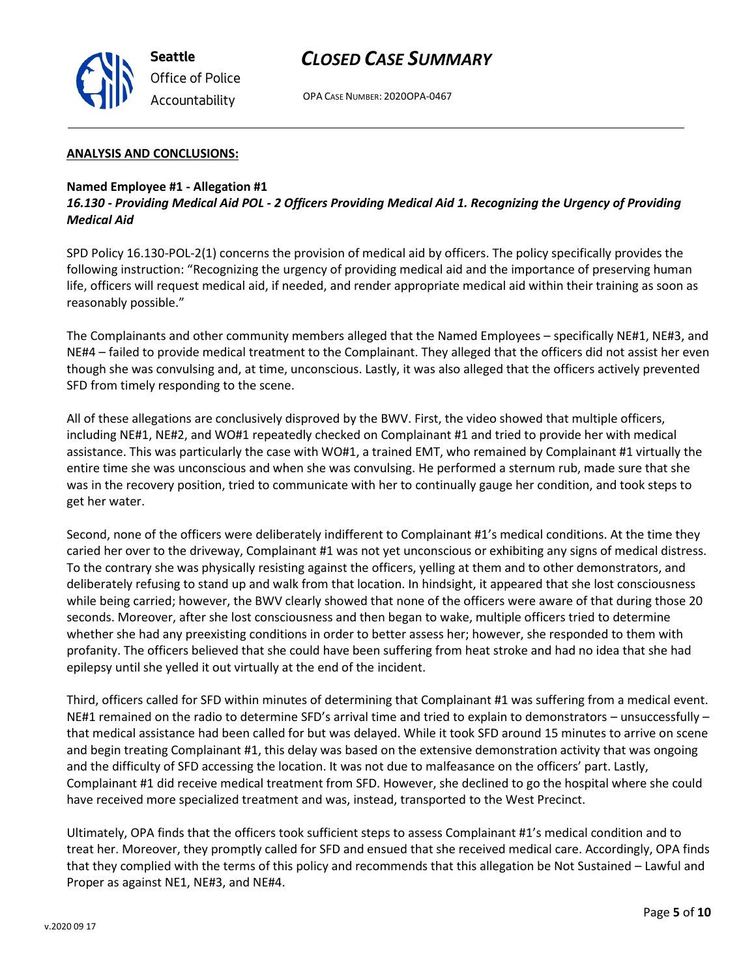

OPA CASE NUMBER: 2020OPA-0467

#### **ANALYSIS AND CONCLUSIONS:**

#### **Named Employee #1 - Allegation #1**

*16.130 - Providing Medical Aid POL - 2 Officers Providing Medical Aid 1. Recognizing the Urgency of Providing Medical Aid*

SPD Policy 16.130-POL-2(1) concerns the provision of medical aid by officers. The policy specifically provides the following instruction: "Recognizing the urgency of providing medical aid and the importance of preserving human life, officers will request medical aid, if needed, and render appropriate medical aid within their training as soon as reasonably possible."

The Complainants and other community members alleged that the Named Employees – specifically NE#1, NE#3, and NE#4 – failed to provide medical treatment to the Complainant. They alleged that the officers did not assist her even though she was convulsing and, at time, unconscious. Lastly, it was also alleged that the officers actively prevented SFD from timely responding to the scene.

All of these allegations are conclusively disproved by the BWV. First, the video showed that multiple officers, including NE#1, NE#2, and WO#1 repeatedly checked on Complainant #1 and tried to provide her with medical assistance. This was particularly the case with WO#1, a trained EMT, who remained by Complainant #1 virtually the entire time she was unconscious and when she was convulsing. He performed a sternum rub, made sure that she was in the recovery position, tried to communicate with her to continually gauge her condition, and took steps to get her water.

Second, none of the officers were deliberately indifferent to Complainant #1's medical conditions. At the time they caried her over to the driveway, Complainant #1 was not yet unconscious or exhibiting any signs of medical distress. To the contrary she was physically resisting against the officers, yelling at them and to other demonstrators, and deliberately refusing to stand up and walk from that location. In hindsight, it appeared that she lost consciousness while being carried; however, the BWV clearly showed that none of the officers were aware of that during those 20 seconds. Moreover, after she lost consciousness and then began to wake, multiple officers tried to determine whether she had any preexisting conditions in order to better assess her; however, she responded to them with profanity. The officers believed that she could have been suffering from heat stroke and had no idea that she had epilepsy until she yelled it out virtually at the end of the incident.

Third, officers called for SFD within minutes of determining that Complainant #1 was suffering from a medical event. NE#1 remained on the radio to determine SFD's arrival time and tried to explain to demonstrators – unsuccessfully – that medical assistance had been called for but was delayed. While it took SFD around 15 minutes to arrive on scene and begin treating Complainant #1, this delay was based on the extensive demonstration activity that was ongoing and the difficulty of SFD accessing the location. It was not due to malfeasance on the officers' part. Lastly, Complainant #1 did receive medical treatment from SFD. However, she declined to go the hospital where she could have received more specialized treatment and was, instead, transported to the West Precinct.

Ultimately, OPA finds that the officers took sufficient steps to assess Complainant #1's medical condition and to treat her. Moreover, they promptly called for SFD and ensued that she received medical care. Accordingly, OPA finds that they complied with the terms of this policy and recommends that this allegation be Not Sustained – Lawful and Proper as against NE1, NE#3, and NE#4.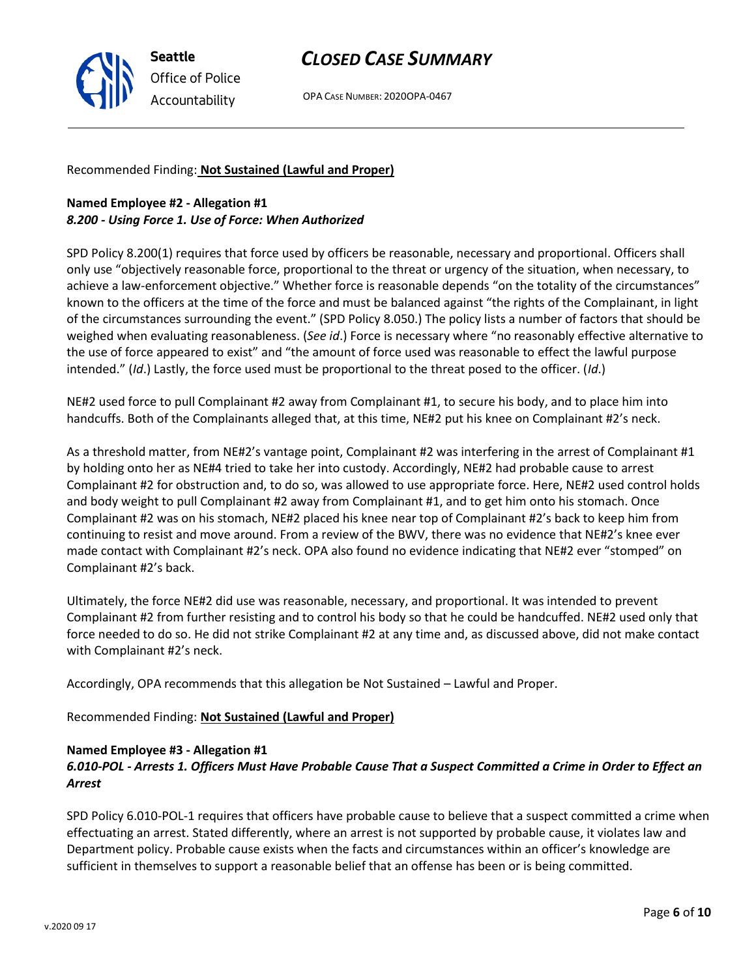OPA CASE NUMBER: 2020OPA-0467

Recommended Finding: **Not Sustained (Lawful and Proper)**

### **Named Employee #2 - Allegation #1** *8.200 - Using Force 1. Use of Force: When Authorized*

SPD Policy 8.200(1) requires that force used by officers be reasonable, necessary and proportional. Officers shall only use "objectively reasonable force, proportional to the threat or urgency of the situation, when necessary, to achieve a law-enforcement objective." Whether force is reasonable depends "on the totality of the circumstances" known to the officers at the time of the force and must be balanced against "the rights of the Complainant, in light of the circumstances surrounding the event." (SPD Policy 8.050.) The policy lists a number of factors that should be weighed when evaluating reasonableness. (*See id*.) Force is necessary where "no reasonably effective alternative to the use of force appeared to exist" and "the amount of force used was reasonable to effect the lawful purpose intended." (*Id*.) Lastly, the force used must be proportional to the threat posed to the officer. (*Id*.)

NE#2 used force to pull Complainant #2 away from Complainant #1, to secure his body, and to place him into handcuffs. Both of the Complainants alleged that, at this time, NE#2 put his knee on Complainant #2's neck.

As a threshold matter, from NE#2's vantage point, Complainant #2 was interfering in the arrest of Complainant #1 by holding onto her as NE#4 tried to take her into custody. Accordingly, NE#2 had probable cause to arrest Complainant #2 for obstruction and, to do so, was allowed to use appropriate force. Here, NE#2 used control holds and body weight to pull Complainant #2 away from Complainant #1, and to get him onto his stomach. Once Complainant #2 was on his stomach, NE#2 placed his knee near top of Complainant #2's back to keep him from continuing to resist and move around. From a review of the BWV, there was no evidence that NE#2's knee ever made contact with Complainant #2's neck. OPA also found no evidence indicating that NE#2 ever "stomped" on Complainant #2's back.

Ultimately, the force NE#2 did use was reasonable, necessary, and proportional. It was intended to prevent Complainant #2 from further resisting and to control his body so that he could be handcuffed. NE#2 used only that force needed to do so. He did not strike Complainant #2 at any time and, as discussed above, did not make contact with Complainant #2's neck.

Accordingly, OPA recommends that this allegation be Not Sustained – Lawful and Proper.

Recommended Finding: **Not Sustained (Lawful and Proper)**

#### **Named Employee #3 - Allegation #1**

### *6.010-POL - Arrests 1. Officers Must Have Probable Cause That a Suspect Committed a Crime in Order to Effect an Arrest*

SPD Policy 6.010-POL-1 requires that officers have probable cause to believe that a suspect committed a crime when effectuating an arrest. Stated differently, where an arrest is not supported by probable cause, it violates law and Department policy. Probable cause exists when the facts and circumstances within an officer's knowledge are sufficient in themselves to support a reasonable belief that an offense has been or is being committed.



**Seattle** *Office of Police Accountability*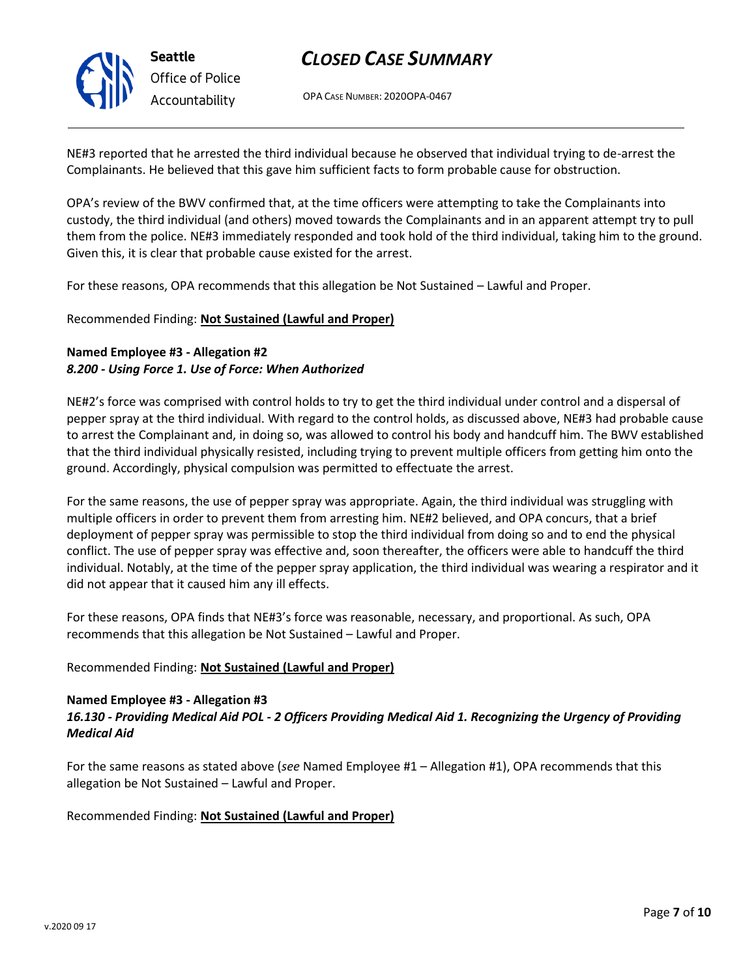

**Seattle** *Office of Police Accountability*

# *CLOSED CASE SUMMARY*

OPA CASE NUMBER: 2020OPA-0467

NE#3 reported that he arrested the third individual because he observed that individual trying to de-arrest the Complainants. He believed that this gave him sufficient facts to form probable cause for obstruction.

OPA's review of the BWV confirmed that, at the time officers were attempting to take the Complainants into custody, the third individual (and others) moved towards the Complainants and in an apparent attempt try to pull them from the police. NE#3 immediately responded and took hold of the third individual, taking him to the ground. Given this, it is clear that probable cause existed for the arrest.

For these reasons, OPA recommends that this allegation be Not Sustained – Lawful and Proper.

Recommended Finding: **Not Sustained (Lawful and Proper)**

## **Named Employee #3 - Allegation #2** *8.200 - Using Force 1. Use of Force: When Authorized*

NE#2's force was comprised with control holds to try to get the third individual under control and a dispersal of pepper spray at the third individual. With regard to the control holds, as discussed above, NE#3 had probable cause to arrest the Complainant and, in doing so, was allowed to control his body and handcuff him. The BWV established that the third individual physically resisted, including trying to prevent multiple officers from getting him onto the ground. Accordingly, physical compulsion was permitted to effectuate the arrest.

For the same reasons, the use of pepper spray was appropriate. Again, the third individual was struggling with multiple officers in order to prevent them from arresting him. NE#2 believed, and OPA concurs, that a brief deployment of pepper spray was permissible to stop the third individual from doing so and to end the physical conflict. The use of pepper spray was effective and, soon thereafter, the officers were able to handcuff the third individual. Notably, at the time of the pepper spray application, the third individual was wearing a respirator and it did not appear that it caused him any ill effects.

For these reasons, OPA finds that NE#3's force was reasonable, necessary, and proportional. As such, OPA recommends that this allegation be Not Sustained – Lawful and Proper.

### Recommended Finding: **Not Sustained (Lawful and Proper)**

#### **Named Employee #3 - Allegation #3** *16.130 - Providing Medical Aid POL - 2 Officers Providing Medical Aid 1. Recognizing the Urgency of Providing Medical Aid*

For the same reasons as stated above (*see* Named Employee #1 – Allegation #1), OPA recommends that this allegation be Not Sustained – Lawful and Proper.

Recommended Finding: **Not Sustained (Lawful and Proper)**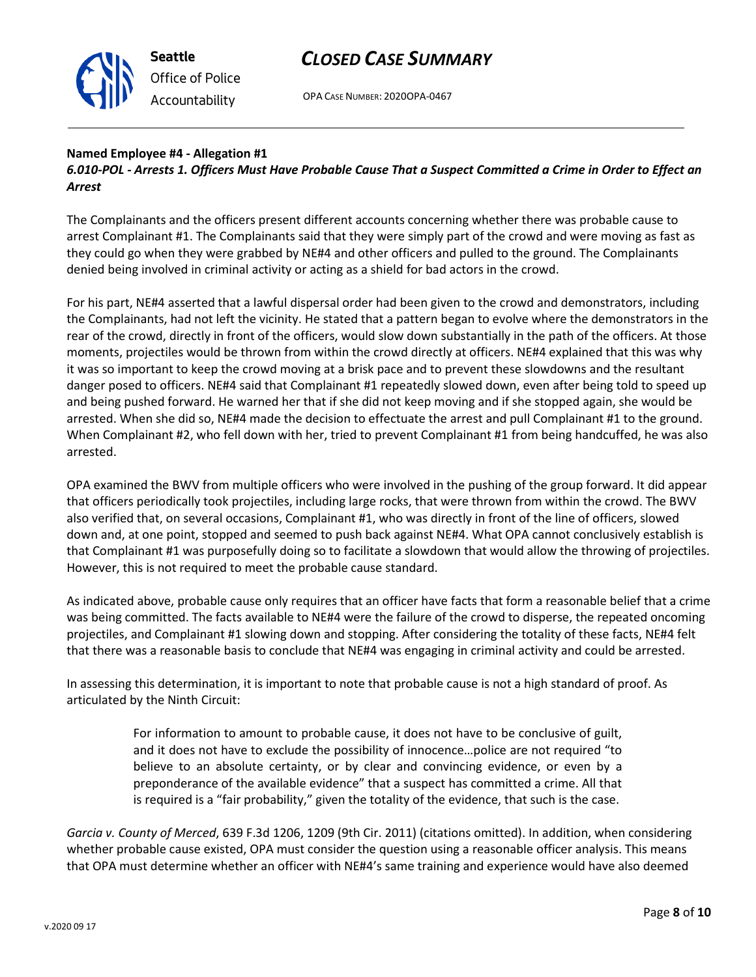

OPA CASE NUMBER: 2020OPA-0467

### **Named Employee #4 - Allegation #1**

*6.010-POL - Arrests 1. Officers Must Have Probable Cause That a Suspect Committed a Crime in Order to Effect an Arrest*

The Complainants and the officers present different accounts concerning whether there was probable cause to arrest Complainant #1. The Complainants said that they were simply part of the crowd and were moving as fast as they could go when they were grabbed by NE#4 and other officers and pulled to the ground. The Complainants denied being involved in criminal activity or acting as a shield for bad actors in the crowd.

For his part, NE#4 asserted that a lawful dispersal order had been given to the crowd and demonstrators, including the Complainants, had not left the vicinity. He stated that a pattern began to evolve where the demonstrators in the rear of the crowd, directly in front of the officers, would slow down substantially in the path of the officers. At those moments, projectiles would be thrown from within the crowd directly at officers. NE#4 explained that this was why it was so important to keep the crowd moving at a brisk pace and to prevent these slowdowns and the resultant danger posed to officers. NE#4 said that Complainant #1 repeatedly slowed down, even after being told to speed up and being pushed forward. He warned her that if she did not keep moving and if she stopped again, she would be arrested. When she did so, NE#4 made the decision to effectuate the arrest and pull Complainant #1 to the ground. When Complainant #2, who fell down with her, tried to prevent Complainant #1 from being handcuffed, he was also arrested.

OPA examined the BWV from multiple officers who were involved in the pushing of the group forward. It did appear that officers periodically took projectiles, including large rocks, that were thrown from within the crowd. The BWV also verified that, on several occasions, Complainant #1, who was directly in front of the line of officers, slowed down and, at one point, stopped and seemed to push back against NE#4. What OPA cannot conclusively establish is that Complainant #1 was purposefully doing so to facilitate a slowdown that would allow the throwing of projectiles. However, this is not required to meet the probable cause standard.

As indicated above, probable cause only requires that an officer have facts that form a reasonable belief that a crime was being committed. The facts available to NE#4 were the failure of the crowd to disperse, the repeated oncoming projectiles, and Complainant #1 slowing down and stopping. After considering the totality of these facts, NE#4 felt that there was a reasonable basis to conclude that NE#4 was engaging in criminal activity and could be arrested.

In assessing this determination, it is important to note that probable cause is not a high standard of proof. As articulated by the Ninth Circuit:

> For information to amount to probable cause, it does not have to be conclusive of guilt, and it does not have to exclude the possibility of innocence…police are not required "to believe to an absolute certainty, or by clear and convincing evidence, or even by a preponderance of the available evidence" that a suspect has committed a crime. All that is required is a "fair probability," given the totality of the evidence, that such is the case.

*Garcia v. County of Merced*, 639 F.3d 1206, 1209 (9th Cir. 2011) (citations omitted). In addition, when considering whether probable cause existed, OPA must consider the question using a reasonable officer analysis. This means that OPA must determine whether an officer with NE#4's same training and experience would have also deemed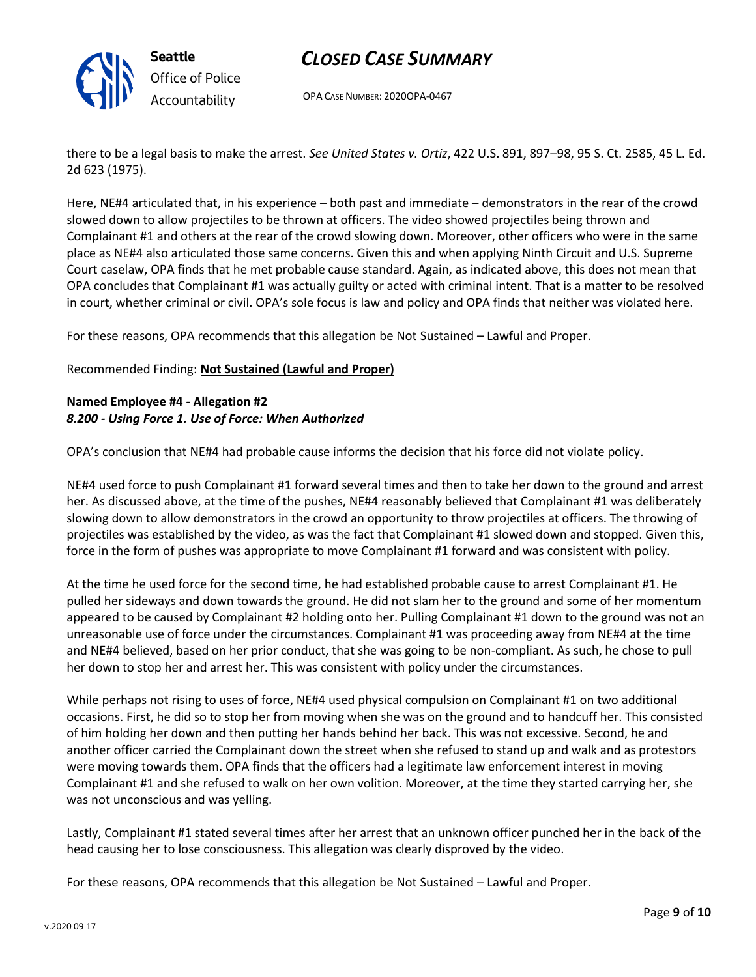

OPA CASE NUMBER: 2020OPA-0467

there to be a legal basis to make the arrest. *See United States v. Ortiz*, 422 U.S. 891, 897–98, 95 S. Ct. 2585, 45 L. Ed. 2d 623 (1975).

Here, NE#4 articulated that, in his experience – both past and immediate – demonstrators in the rear of the crowd slowed down to allow projectiles to be thrown at officers. The video showed projectiles being thrown and Complainant #1 and others at the rear of the crowd slowing down. Moreover, other officers who were in the same place as NE#4 also articulated those same concerns. Given this and when applying Ninth Circuit and U.S. Supreme Court caselaw, OPA finds that he met probable cause standard. Again, as indicated above, this does not mean that OPA concludes that Complainant #1 was actually guilty or acted with criminal intent. That is a matter to be resolved in court, whether criminal or civil. OPA's sole focus is law and policy and OPA finds that neither was violated here.

For these reasons, OPA recommends that this allegation be Not Sustained – Lawful and Proper.

Recommended Finding: **Not Sustained (Lawful and Proper)**

### **Named Employee #4 - Allegation #2** *8.200 - Using Force 1. Use of Force: When Authorized*

OPA's conclusion that NE#4 had probable cause informs the decision that his force did not violate policy.

NE#4 used force to push Complainant #1 forward several times and then to take her down to the ground and arrest her. As discussed above, at the time of the pushes, NE#4 reasonably believed that Complainant #1 was deliberately slowing down to allow demonstrators in the crowd an opportunity to throw projectiles at officers. The throwing of projectiles was established by the video, as was the fact that Complainant #1 slowed down and stopped. Given this, force in the form of pushes was appropriate to move Complainant #1 forward and was consistent with policy.

At the time he used force for the second time, he had established probable cause to arrest Complainant #1. He pulled her sideways and down towards the ground. He did not slam her to the ground and some of her momentum appeared to be caused by Complainant #2 holding onto her. Pulling Complainant #1 down to the ground was not an unreasonable use of force under the circumstances. Complainant #1 was proceeding away from NE#4 at the time and NE#4 believed, based on her prior conduct, that she was going to be non-compliant. As such, he chose to pull her down to stop her and arrest her. This was consistent with policy under the circumstances.

While perhaps not rising to uses of force, NE#4 used physical compulsion on Complainant #1 on two additional occasions. First, he did so to stop her from moving when she was on the ground and to handcuff her. This consisted of him holding her down and then putting her hands behind her back. This was not excessive. Second, he and another officer carried the Complainant down the street when she refused to stand up and walk and as protestors were moving towards them. OPA finds that the officers had a legitimate law enforcement interest in moving Complainant #1 and she refused to walk on her own volition. Moreover, at the time they started carrying her, she was not unconscious and was yelling.

Lastly, Complainant #1 stated several times after her arrest that an unknown officer punched her in the back of the head causing her to lose consciousness. This allegation was clearly disproved by the video.

For these reasons, OPA recommends that this allegation be Not Sustained – Lawful and Proper.